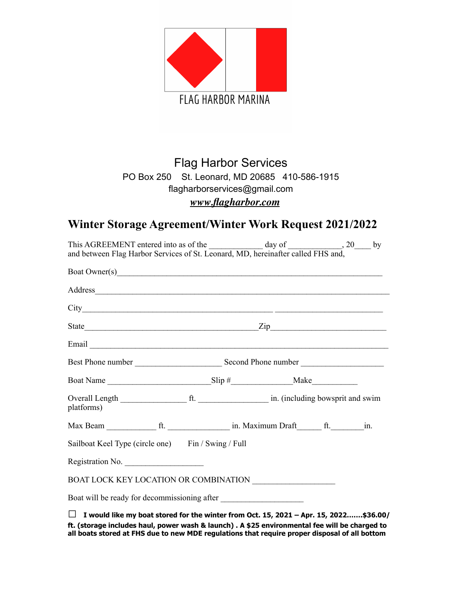

## **Flag Harbor Services** PO Box 250 St. Leonard, MD 20685 410-586-1915 flagharborservices@gmail.com www.flagharbor.com

# Winter Storage Agreement/Winter Work Request 2021/2022

| This AGREEMENT entered into as of the ______________ day of ___________________, 20______ by<br>and between Flag Harbor Services of St. Leonard, MD, hereinafter called FHS and,                                               |  |            |  |  |  |
|--------------------------------------------------------------------------------------------------------------------------------------------------------------------------------------------------------------------------------|--|------------|--|--|--|
| Boat Owner(s) Sales Contains the Contract of the Contract of the Contract of the Contract of the Contract of the Contract of the Contract of the Contract of the Contract of the Contract of the Contract of the Contract of t |  |            |  |  |  |
|                                                                                                                                                                                                                                |  |            |  |  |  |
|                                                                                                                                                                                                                                |  |            |  |  |  |
|                                                                                                                                                                                                                                |  |            |  |  |  |
|                                                                                                                                                                                                                                |  |            |  |  |  |
|                                                                                                                                                                                                                                |  |            |  |  |  |
|                                                                                                                                                                                                                                |  |            |  |  |  |
| platforms)                                                                                                                                                                                                                     |  |            |  |  |  |
|                                                                                                                                                                                                                                |  |            |  |  |  |
| Sailboat Keel Type (circle one) Fin / Swing / Full                                                                                                                                                                             |  |            |  |  |  |
| Registration No.                                                                                                                                                                                                               |  |            |  |  |  |
| BOAT LOCK KEY LOCATION OR COMBINATION ____________________                                                                                                                                                                     |  |            |  |  |  |
| Boat will be ready for decommissioning after                                                                                                                                                                                   |  |            |  |  |  |
|                                                                                                                                                                                                                                |  | - - -<br>. |  |  |  |

 $\Box$  I would like my boat stored for the winter from Oct. 15, 2021 – Apr. 15, 2022.......\$36.00/ ft. (storage includes haul, power wash & launch) . A \$25 environmental fee will be charged to all boats stored at FHS due to new MDE regulations that require proper disposal of all bottom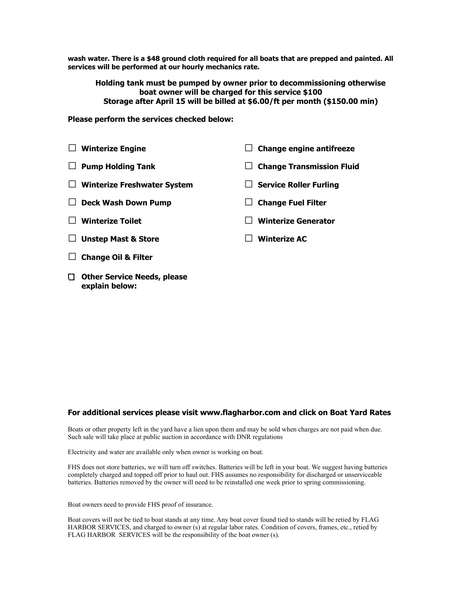**wash water. There is a \$48 ground cloth required for all boats that are prepped and painted. All services will be performed at our hourly mechanics rate.**

 **Holding tank must be pumped by owner prior to decommissioning otherwise boat owner will be charged for this service \$100 Storage after April 15 will be billed at \$6.00/ft per month (\$150.00 min)** 

#### **Please perform the services checked below:**

- **□ Winterize Engine □ Pump Holding Tank □ Winterize Freshwater System □ Deck Wash Down Pump □ Winterize Toilet □ Unstep Mast & Store □ Change engine antifreeze □ Change Transmission Fluid □ Service Roller Furling □ Change Fuel Filter □ Winterize Generator □ Winterize AC**
- **□ Change Oil & Filter**
- **Other Service Needs, please explain below:**

#### **For additional services please visit www.flagharbor.com and click on Boat Yard Rates**

Boats or other property left in the yard have a lien upon them and may be sold when charges are not paid when due. Such sale will take place at public auction in accordance with DNR regulations

Electricity and water are available only when owner is working on boat.

FHS does not store batteries, we will turn off switches. Batteries will be left in your boat. We suggest having batteries completely charged and topped off prior to haul out. FHS assumes no responsibility for discharged or unserviceable batteries. Batteries removed by the owner will need to be reinstalled one week prior to spring commissioning.

Boat owners need to provide FHS proof of insurance.

Boat covers will not be tied to boat stands at any time. Any boat cover found tied to stands will be retied by FLAG HARBOR SERVICES, and charged to owner (s) at regular labor rates. Condition of covers, frames, etc., retied by FLAG HARBOR SERVICES will be the responsibility of the boat owner (s).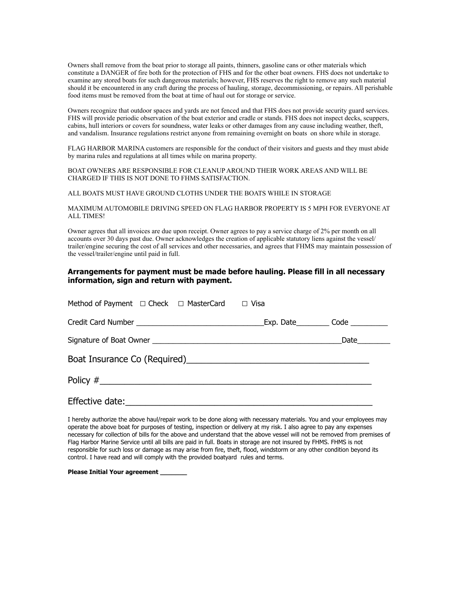Owners shall remove from the boat prior to storage all paints, thinners, gasoline cans or other materials which constitute a DANGER of fire both for the protection of FHS and for the other boat owners. FHS does not undertake to examine any stored boats for such dangerous materials; however, FHS reserves the right to remove any such material should it be encountered in any craft during the process of hauling, storage, decommissioning, or repairs. All perishable food items must be removed from the boat at time of haul out for storage or service.

Owners recognize that outdoor spaces and yards are not fenced and that FHS does not provide security guard services. FHS will provide periodic observation of the boat exterior and cradle or stands. FHS does not inspect decks, scuppers, cabins, hull interiors or covers for soundness, water leaks or other damages from any cause including weather, theft, and vandalism. Insurance regulations restrict anyone from remaining overnight on boats on shore while in storage.

FLAG HARBOR MARINA customers are responsible for the conduct of their visitors and guests and they must abide by marina rules and regulations at all times while on marina property.

BOAT OWNERS ARE RESPONSIBLE FOR CLEANUP AROUND THEIR WORK AREAS AND WILL BE CHARGED IF THIS IS NOT DONE TO FHMS SATISFACTION.

ALL BOATS MUST HAVE GROUND CLOTHS UNDER THE BOATS WHILE IN STORAGE

MAXIMUM AUTOMOBILE DRIVING SPEED ON FLAG HARBOR PROPERTY IS 5 MPH FOR EVERYONE AT ALL TIMES!

Owner agrees that all invoices are due upon receipt. Owner agrees to pay a service charge of 2% per month on all accounts over 30 days past due. Owner acknowledges the creation of applicable statutory liens against the vessel/ trailer/engine securing the cost of all services and other necessaries, and agrees that FHMS may maintain possession of the vessel/trailer/engine until paid in full.

### **Arrangements for payment must be made before hauling. Please fill in all necessary information, sign and return with payment.**

| Method of Payment $\Box$ Check $\Box$ MasterCard $\Box$ Visa |  |  |  |  |  |  |
|--------------------------------------------------------------|--|--|--|--|--|--|
|                                                              |  |  |  |  |  |  |
|                                                              |  |  |  |  |  |  |
|                                                              |  |  |  |  |  |  |
|                                                              |  |  |  |  |  |  |
|                                                              |  |  |  |  |  |  |

I hereby authorize the above haul/repair work to be done along with necessary materials. You and your employees may operate the above boat for purposes of testing, inspection or delivery at my risk. I also agree to pay any expenses necessary for collection of bills for the above and understand that the above vessel will not be removed from premises of Flag Harbor Marine Service until all bills are paid in full. Boats in storage are not insured by FHMS. FHMS is not responsible for such loss or damage as may arise from fire, theft, flood, windstorm or any other condition beyond its control. I have read and will comply with the provided boatyard rules and terms.

**Please Initial Your agreement \_\_\_\_\_\_\_**